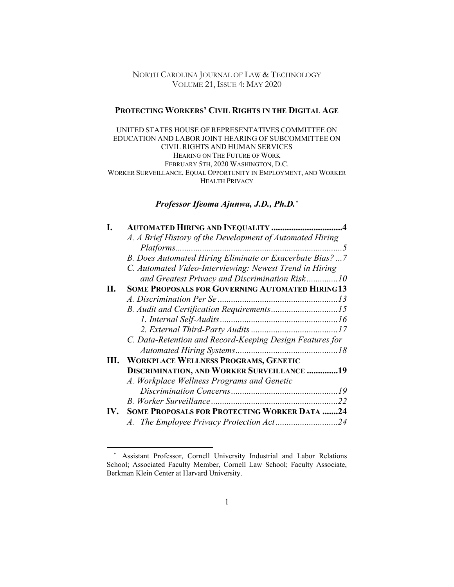## NORTH CAROLINA JOURNAL OF LAW & TECHNOLOGY VOLUME 21, ISSUE 4: MAY 2020

## **PROTECTING WORKERS' CIVIL RIGHTS IN THE DIGITAL AGE**

UNITED STATES HOUSE OF REPRESENTATIVES COMMITTEE ON EDUCATION AND LABOR JOINT HEARING OF SUBCOMMITTEE ON CIVIL RIGHTS AND HUMAN SERVICES HEARING ON THE FUTURE OF WORK FEBRUARY 5TH, 2020 WASHINGTON, D.C. WORKER SURVEILLANCE, EQUAL OPPORTUNITY IN EMPLOYMENT, AND WORKER HEALTH PRIVACY

## *Professor Ifeoma Ajunwa, J.D., Ph.D.[\\*](#page-0-0)*

|     | <b>AUTOMATED HIRING AND INEQUALITY 4</b>                  |    |
|-----|-----------------------------------------------------------|----|
|     | A. A Brief History of the Development of Automated Hiring |    |
|     | B. Does Automated Hiring Eliminate or Exacerbate Bias?  7 |    |
|     | C. Automated Video-Interviewing: Newest Trend in Hiring   |    |
|     | and Greatest Privacy and Discrimination Risk10            |    |
| П.  | <b>SOME PROPOSALS FOR GOVERNING AUTOMATED HIRING 13</b>   |    |
|     |                                                           |    |
|     |                                                           |    |
|     |                                                           |    |
|     |                                                           |    |
|     | C. Data-Retention and Record-Keeping Design Features for  |    |
|     |                                                           |    |
| Ш.  | <b>WORKPLACE WELLNESS PROGRAMS, GENETIC</b>               |    |
|     | <b>DISCRIMINATION, AND WORKER SURVEILLANCE 19</b>         |    |
|     | A. Workplace Wellness Programs and Genetic                |    |
|     |                                                           |    |
|     |                                                           | 22 |
| IV. | <b>SOME PROPOSALS FOR PROTECTING WORKER DATA 24</b>       |    |
|     |                                                           |    |
|     |                                                           |    |

<span id="page-0-0"></span><sup>\*</sup> Assistant Professor, Cornell University Industrial and Labor Relations School; Associated Faculty Member, Cornell Law School; Faculty Associate, Berkman Klein Center at Harvard University.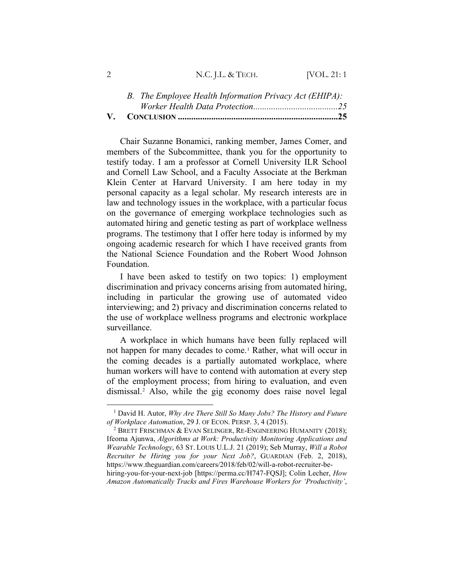| <b>IVOL. 21:1</b><br>N.C. J.L. & TECH. |  |
|----------------------------------------|--|
|----------------------------------------|--|

Chair Suzanne Bonamici, ranking member, James Comer, and members of the Subcommittee, thank you for the opportunity to testify today. I am a professor at Cornell University ILR School and Cornell Law School, and a Faculty Associate at the Berkman Klein Center at Harvard University. I am here today in my personal capacity as a legal scholar. My research interests are in law and technology issues in the workplace, with a particular focus on the governance of emerging workplace technologies such as automated hiring and genetic testing as part of workplace wellness programs. The testimony that I offer here today is informed by my ongoing academic research for which I have received grants from the National Science Foundation and the Robert Wood Johnson Foundation.

I have been asked to testify on two topics: 1) employment discrimination and privacy concerns arising from automated hiring, including in particular the growing use of automated video interviewing; and 2) privacy and discrimination concerns related to the use of workplace wellness programs and electronic workplace surveillance.

A workplace in which humans have been fully replaced will not happen for many decades to come.<sup>[1](#page-1-0)</sup> Rather, what will occur in the coming decades is a partially automated workplace, where human workers will have to contend with automation at every step of the employment process; from hiring to evaluation, and even dismissal.[2](#page-1-1) Also, while the gig economy does raise novel legal

<span id="page-1-0"></span><sup>1</sup> David H. Autor, *Why Are There Still So Many Jobs? The History and Future of Workplace Automation*, 29 J. OF ECON. PERSP. 3, 4 (2015).

<span id="page-1-1"></span><sup>2</sup> BRETT FRISCHMAN & EVAN SELINGER, RE-ENGINEERING HUMANITY (2018); Ifeoma Ajunwa, *Algorithms at Work: Productivity Monitoring Applications and Wearable Technology*, 63 ST. LOUIS U.L.J. 21 (2019); Seb Murray, *Will a Robot Recruiter be Hiring you for your Next Job?*, GUARDIAN (Feb. 2, 2018), https://www.theguardian.com/careers/2018/feb/02/will-a-robot-recruiter-behiring-you-for-your-next-job [https://perma.cc/H747-FQSJ]; Colin Lecher, *How* 

*Amazon Automatically Tracks and Fires Warehouse Workers for 'Productivity'*,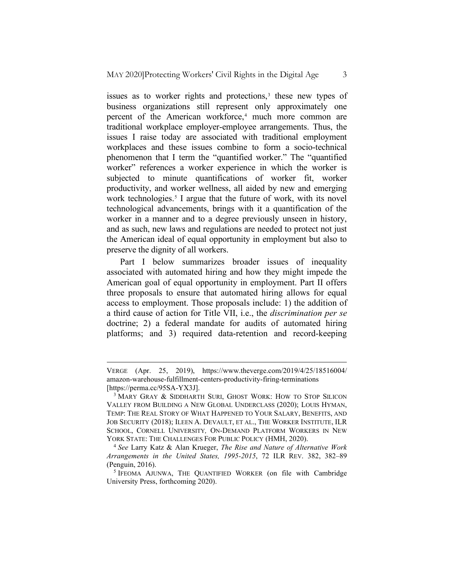issues as to worker rights and protections,<sup>[3](#page-2-0)</sup> these new types of business organizations still represent only approximately one percent of the American workforce,<sup>[4](#page-2-1)</sup> much more common are traditional workplace employer-employee arrangements. Thus, the issues I raise today are associated with traditional employment workplaces and these issues combine to form a socio-technical phenomenon that I term the "quantified worker." The "quantified worker" references a worker experience in which the worker is subjected to minute quantifications of worker fit, worker productivity, and worker wellness, all aided by new and emerging work technologies.<sup>[5](#page-2-2)</sup> I argue that the future of work, with its novel technological advancements, brings with it a quantification of the worker in a manner and to a degree previously unseen in history, and as such, new laws and regulations are needed to protect not just the American ideal of equal opportunity in employment but also to preserve the dignity of all workers.

Part I below summarizes broader issues of inequality associated with automated hiring and how they might impede the American goal of equal opportunity in employment. Part II offers three proposals to ensure that automated hiring allows for equal access to employment. Those proposals include: 1) the addition of a third cause of action for Title VII, i.e., the *discrimination per se*  doctrine; 2) a federal mandate for audits of automated hiring platforms; and 3) required data-retention and record-keeping

VERGE (Apr. 25, 2019), https://www.theverge.com/2019/4/25/18516004/ amazon-warehouse-fulfillment-centers-productivity-firing-terminations [https://perma.cc/95SA-YX3J].

<span id="page-2-0"></span><sup>&</sup>lt;sup>3</sup> MARY GRAY & SIDDHARTH SURI, GHOST WORK: HOW TO STOP SILICON VALLEY FROM BUILDING A NEW GLOBAL UNDERCLASS (2020); LOUIS HYMAN, TEMP: THE REAL STORY OF WHAT HAPPENED TO YOUR SALARY, BENEFITS, AND JOB SECURITY (2018); ILEEN A. DEVAULT, ET AL., THE WORKER INSTITUTE, ILR SCHOOL, CORNELL UNIVERSITY*,* ON-DEMAND PLATFORM WORKERS IN NEW YORK STATE: THE CHALLENGES FOR PUBLIC POLICY (HMH, 2020).

<span id="page-2-1"></span><sup>4</sup> *See* Larry Katz & Alan Krueger, *The Rise and Nature of Alternative Work Arrangements in the United States, 1995-2015*, 72 ILR REV. 382, 382–89 (Penguin, 2016).

<span id="page-2-2"></span><sup>5</sup> IFEOMA AJUNWA, THE QUANTIFIED WORKER (on file with Cambridge University Press, forthcoming 2020).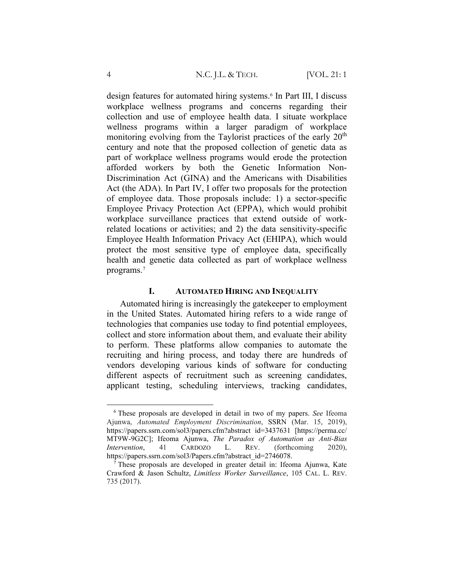design features for automated hiring systems.[6](#page-3-0) In Part III, I discuss workplace wellness programs and concerns regarding their collection and use of employee health data. I situate workplace wellness programs within a larger paradigm of workplace monitoring evolving from the Taylorist practices of the early  $20<sup>th</sup>$ century and note that the proposed collection of genetic data as part of workplace wellness programs would erode the protection afforded workers by both the Genetic Information Non-Discrimination Act (GINA) and the Americans with Disabilities Act (the ADA). In Part IV, I offer two proposals for the protection of employee data. Those proposals include: 1) a sector-specific Employee Privacy Protection Act (EPPA), which would prohibit workplace surveillance practices that extend outside of workrelated locations or activities; and 2) the data sensitivity-specific Employee Health Information Privacy Act (EHIPA), which would protect the most sensitive type of employee data, specifically health and genetic data collected as part of workplace wellness programs.[7](#page-3-1)

# **I. AUTOMATED HIRING AND INEQUALITY**

Automated hiring is increasingly the gatekeeper to employment in the United States. Automated hiring refers to a wide range of technologies that companies use today to find potential employees, collect and store information about them, and evaluate their ability to perform. These platforms allow companies to automate the recruiting and hiring process, and today there are hundreds of vendors developing various kinds of software for conducting different aspects of recruitment such as screening candidates, applicant testing, scheduling interviews, tracking candidates,

<span id="page-3-0"></span><sup>6</sup> These proposals are developed in detail in two of my papers. *See* Ifeoma Ajunwa, *Automated Employment Discrimination*, SSRN (Mar. 15, 2019), https://papers.ssrn.com/sol3/papers.cfm?abstract id=3437631 [https://perma.cc/ MT9W-9G2C]; Ifeoma Ajunwa, *The Paradox of Automation as Anti-Bias Intervention*, 41 CARDOZO L. REV. (forthcoming 2020), https://papers.ssrn.com/sol3/Papers.cfm?abstract\_id=2746078.

<span id="page-3-1"></span><sup>7</sup> These proposals are developed in greater detail in: Ifeoma Ajunwa, Kate Crawford & Jason Schultz, *Limitless Worker Surveillance*, 105 CAL. L. REV. 735 (2017).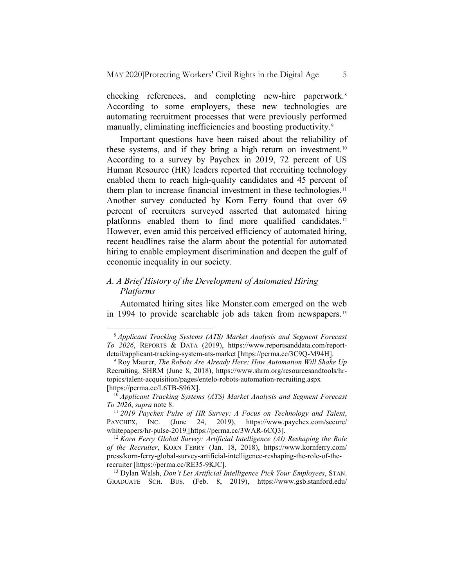checking references, and completing new-hire paperwork.<sup>[8](#page-4-0)</sup> According to some employers, these new technologies are automating recruitment processes that were previously performed manually, eliminating inefficiencies and boosting productivity.<sup>[9](#page-4-1)</sup>

Important questions have been raised about the reliability of these systems, and if they bring a high return on investment.<sup>[10](#page-4-2)</sup> According to a survey by Paychex in 2019, 72 percent of US Human Resource (HR) leaders reported that recruiting technology enabled them to reach high-quality candidates and 45 percent of them plan to increase financial investment in these technologies.<sup>[11](#page-4-3)</sup> Another survey conducted by Korn Ferry found that over 69 percent of recruiters surveyed asserted that automated hiring platforms enabled them to find more qualified candidates.<sup>[12](#page-4-4)</sup> However, even amid this perceived efficiency of automated hiring, recent headlines raise the alarm about the potential for automated hiring to enable employment discrimination and deepen the gulf of economic inequality in our society.

# *A. A Brief History of the Development of Automated Hiring Platforms*

Automated hiring sites like Monster.com emerged on the web in 1994 to provide searchable job ads taken from newspapers.<sup>[13](#page-4-5)</sup>

<span id="page-4-0"></span><sup>8</sup> *Applicant Tracking Systems (ATS) Market Analysis and Segment Forecast To 2026*, REPORTS & DATA (2019), https://www.reportsanddata.com/reportdetail/applicant-tracking-system-ats-market [https://perma.cc/3C9Q-M94H].

<span id="page-4-1"></span><sup>9</sup> Roy Maurer, *The Robots Are Already Here: How Automation Will Shake Up*  Recruiting, SHRM (June 8, 2018), [https://www.shrm.org/resourcesandtools/hr](https://www.shrm.org/resourcesandtools/hr-topics/talent-acquisition/pages/entelo-robots-automation-recruiting.aspx)[topics/talent-acquisition/pages/entelo-robots-automation-recruiting.aspx](https://www.shrm.org/resourcesandtools/hr-topics/talent-acquisition/pages/entelo-robots-automation-recruiting.aspx) [https://perma.cc/L6TB-S96X].

<span id="page-4-2"></span><sup>&</sup>lt;sup>10</sup> *Applicant Tracking Systems (ATS) Market Analysis and Segment Forecast To 2026, supra note 8.* 

<span id="page-4-3"></span><sup>&</sup>lt;sup>11</sup> 2019 Paychex Pulse of HR Survey: A Focus on Technology and Talent, PAYCHEX, INC. (June 24, 2019), https://www.paychex.com/secure/ whitepapers/hr-pulse-2019 [https://perma.cc/3WAR-6CQ3].

<span id="page-4-4"></span><sup>12</sup> *Korn Ferry Global Survey: Artificial Intelligence (AI) Reshaping the Role of the Recruiter*, KORN FERRY (Jan. 18, 2018), https://www.kornferry.com/ press/korn-ferry-global-survey-artificial-intelligence-reshaping-the-role-of-therecruiter [https://perma.cc/RE35-9KJC].

<span id="page-4-5"></span><sup>13</sup> Dylan Walsh, *Don't Let Artificial Intelligence Pick Your Employees*, STAN. GRADUATE SCH. BUS. (Feb. 8, 2019), https://www.gsb.stanford.edu/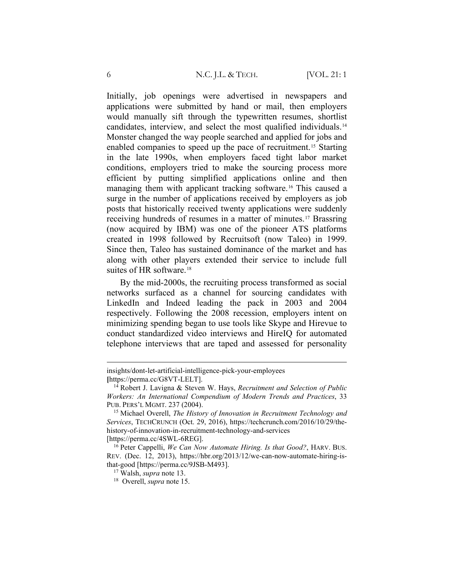Initially, job openings were advertised in newspapers and applications were submitted by hand or mail, then employers would manually sift through the typewritten resumes, shortlist candidates, interview, and select the most qualified individuals.[14](#page-5-0) Monster changed the way people searched and applied for jobs and enabled companies to speed up the pace of recruitment.[15](#page-5-1) Starting in the late 1990s, when employers faced tight labor market conditions, employers tried to make the sourcing process more efficient by putting simplified applications online and then managing them with applicant tracking software.<sup>[16](#page-5-2)</sup> This caused a surge in the number of applications received by employers as job posts that historically received twenty applications were suddenly receiving hundreds of resumes in a matter of minutes[.17](#page-5-3) Brassring (now acquired by IBM) was one of the pioneer ATS platforms created in 1998 followed by Recruitsoft (now Taleo) in 1999. Since then, Taleo has sustained dominance of the market and has along with other players extended their service to include full suites of HR software.<sup>[18](#page-5-4)</sup>

By the mid-2000s, the recruiting process transformed as social networks surfaced as a channel for sourcing candidates with LinkedIn and Indeed leading the pack in 2003 and 2004 respectively. Following the 2008 recession, employers intent on minimizing spending began to use tools like Skype and Hirevue to conduct standardized video interviews and HireIQ for automated telephone interviews that are taped and assessed for personality

insights/dont-let-artificial-intelligence-pick-your-employees **[**https://perma.cc/G8VT-LELT].

<span id="page-5-0"></span><sup>14</sup> Robert J. Lavigna & Steven W. Hays, *Recruitment and Selection of Public Workers: An International Compendium of Modern Trends and Practices*, 33 PUB. PERS'L MGMT. 237 (2004).

<span id="page-5-1"></span><sup>15</sup> Michael Overell, *The History of Innovation in Recruitment Technology and Services*, TECHCRUNCH (Oct. 29, 2016), https://techcrunch.com/2016/10/29/thehistory-of-innovation-in-recruitment-technology-and-services [https://perma.cc/4SWL-6REG].

<span id="page-5-4"></span><span id="page-5-3"></span><span id="page-5-2"></span><sup>16</sup> Peter Cappelli, *We Can Now Automate Hiring. Is that Good?*, HARV. BUS. REV. (Dec. 12, 2013), https://hbr.org/2013/12/we-can-now-automate-hiring-isthat-good [https://perma.cc/9JSB-M493].

<sup>17</sup> Walsh, *supra* note 13.

<sup>18</sup> Overell, *supra* note 15.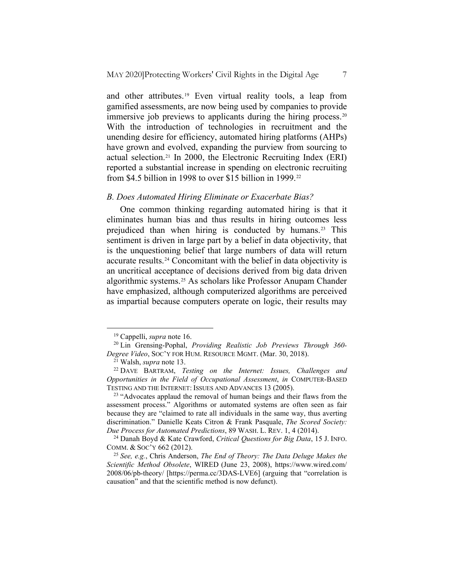and other attributes.<sup>[19](#page-6-0)</sup> Even virtual reality tools, a leap from gamified assessments, are now being used by companies to provide immersive job previews to applicants during the hiring process.<sup>[20](#page-6-1)</sup> With the introduction of technologies in recruitment and the unending desire for efficiency, automated hiring platforms (AHPs) have grown and evolved, expanding the purview from sourcing to actual selection.[21](#page-6-2) In 2000, the Electronic Recruiting Index (ERI) reported a substantial increase in spending on electronic recruiting from \$4.5 billion in 1998 to over \$15 billion in 1999.<sup>[22](#page-6-3)</sup>

#### *B. Does Automated Hiring Eliminate or Exacerbate Bias?*

One common thinking regarding automated hiring is that it eliminates human bias and thus results in hiring outcomes less prejudiced than when hiring is conducted by humans.[23](#page-6-4) This sentiment is driven in large part by a belief in data objectivity, that is the unquestioning belief that large numbers of data will return accurate results.[24](#page-6-5) Concomitant with the belief in data objectivity is an uncritical acceptance of decisions derived from big data driven algorithmic systems.[25](#page-6-6) As scholars like Professor Anupam Chander have emphasized, although computerized algorithms are perceived as impartial because computers operate on logic, their results may

<sup>19</sup> Cappelli, *supra* note 16.

<span id="page-6-1"></span><span id="page-6-0"></span><sup>20</sup> Lin Grensing-Pophal, *Providing Realistic Job Previews Through 360- Degree Video*, SOC'Y FOR HUM. RESOURCE MGMT. (Mar. 30, 2018).

<sup>21</sup> Walsh, *supra* note 13.

<span id="page-6-3"></span><span id="page-6-2"></span><sup>22</sup> DAVE BARTRAM, *Testing on the Internet: Issues, Challenges and Opportunities in the Field of Occupational Assessment*, *in* COMPUTER-BASED TESTING AND THE INTERNET: ISSUES AND ADVANCES 13 (2005).

<span id="page-6-4"></span><sup>&</sup>lt;sup>23</sup> "Advocates applaud the removal of human beings and their flaws from the assessment process." Algorithms or automated systems are often seen as fair because they are "claimed to rate all individuals in the same way, thus averting discrimination." Danielle Keats Citron & Frank Pasquale, *The Scored Society: Due Process for Automated Predictions*, 89 WASH. L. REV. 1, 4 (2014).

<span id="page-6-5"></span><sup>24</sup> Danah Boyd & Kate Crawford, *Critical Questions for Big Data*, 15 J. INFO. COMM. & SOC'Y 662 (2012).

<span id="page-6-6"></span><sup>25</sup> *See, e.g.*, Chris Anderson, *The End of Theory: The Data Deluge Makes the Scientific Method Obsolete*, WIRED (June 23, 2008), https://www.wired.com/ 2008/06/pb-theory/ [https://perma.cc/3DAS-LVE6] (arguing that "correlation is causation" and that the scientific method is now defunct).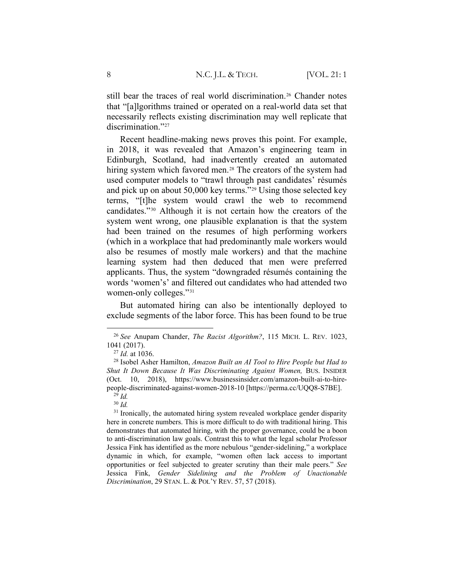still bear the traces of real world discrimination.<sup>[26](#page-7-0)</sup> Chander notes that "[a]lgorithms trained or operated on a real-world data set that necessarily reflects existing discrimination may well replicate that discrimination."<sup>[27](#page-7-1)</sup>

Recent headline-making news proves this point. For example, in 2018, it was revealed that Amazon's engineering team in Edinburgh, Scotland, had inadvertently created an automated hiring system which favored men.<sup>[28](#page-7-2)</sup> The creators of the system had used computer models to "trawl through past candidates' résumés and pick up on about 50,000 key terms."[29](#page-7-3) Using those selected key terms, "[t]he system would crawl the web to recommend candidates."[30](#page-7-4) Although it is not certain how the creators of the system went wrong, one plausible explanation is that the system had been trained on the resumes of high performing workers (which in a workplace that had predominantly male workers would also be resumes of mostly male workers) and that the machine learning system had then deduced that men were preferred applicants. Thus, the system "downgraded résumés containing the words 'women's' and filtered out candidates who had attended two women-only colleges."[31](#page-7-5)

But automated hiring can also be intentionally deployed to exclude segments of the labor force. This has been found to be true

<span id="page-7-0"></span><sup>26</sup> *See* Anupam Chander, *The Racist Algorithm?*, 115 MICH. L. REV. 1023, 1041 (2017).

<sup>27</sup> *Id.* at 1036.

<span id="page-7-2"></span><span id="page-7-1"></span><sup>28</sup> Isobel Asher Hamilton, *Amazon Built an AI Tool to Hire People but Had to Shut It Down Because It Was Discriminating Against Women,* BUS. INSIDER (Oct. 10, 2018), https://www.businessinsider.com/amazon-built-ai-to-hirepeople-discriminated-against-women-2018-10 [https://perma.cc/UQQ8-S7BE].  $^{29}$  *Id.* 

<sup>30</sup> *Id.*

<span id="page-7-5"></span><span id="page-7-4"></span><span id="page-7-3"></span> $31$  Ironically, the automated hiring system revealed workplace gender disparity here in concrete numbers. This is more difficult to do with traditional hiring. This demonstrates that automated hiring, with the proper governance, could be a boon to anti-discrimination law goals. Contrast this to what the legal scholar Professor Jessica Fink has identified as the more nebulous "gender-sidelining," a workplace dynamic in which, for example, "women often lack access to important opportunities or feel subjected to greater scrutiny than their male peers." *See*  Jessica Fink, *Gender Sidelining and the Problem of Unactionable Discrimination*, 29 STAN. L. & POL'Y REV. 57, 57 (2018).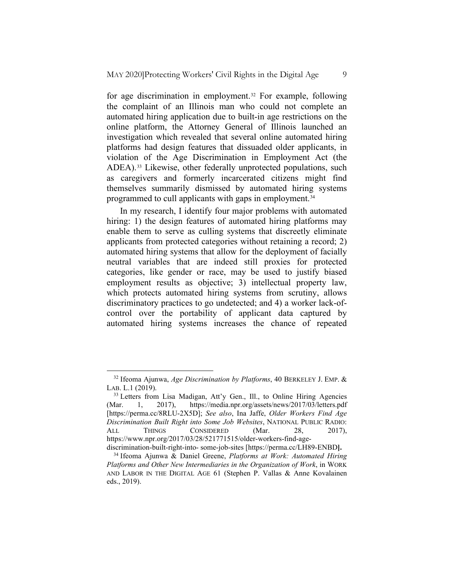for age discrimination in employment.<sup>[32](#page-8-0)</sup> For example, following the complaint of an Illinois man who could not complete an automated hiring application due to built-in age restrictions on the online platform, the Attorney General of Illinois launched an investigation which revealed that several online automated hiring platforms had design features that dissuaded older applicants, in violation of the Age Discrimination in Employment Act (the ADEA).<sup>[33](#page-8-1)</sup> Likewise, other federally unprotected populations, such as caregivers and formerly incarcerated citizens might find themselves summarily dismissed by automated hiring systems programmed to cull applicants with gaps in employment.<sup>[34](#page-8-2)</sup>

In my research, I identify four major problems with automated hiring: 1) the design features of automated hiring platforms may enable them to serve as culling systems that discreetly eliminate applicants from protected categories without retaining a record; 2) automated hiring systems that allow for the deployment of facially neutral variables that are indeed still proxies for protected categories, like gender or race, may be used to justify biased employment results as objective; 3) intellectual property law, which protects automated hiring systems from scrutiny, allows discriminatory practices to go undetected; and 4) a worker lack-ofcontrol over the portability of applicant data captured by automated hiring systems increases the chance of repeated

<span id="page-8-0"></span><sup>32</sup> Ifeoma Ajunwa, *Age Discrimination by Platforms*, 40 BERKELEY J. EMP. & LAB. L.1 (2019).

<span id="page-8-1"></span><sup>&</sup>lt;sup>33</sup> Letters from Lisa Madigan, Att'y Gen., Ill., to Online Hiring Agencies (Mar. 1, 2017), https://media.npr.org/assets/news/2017/03/letters.pdf [https://perma.cc/8RLU-2X5D]; *See also*, Ina Jaffe, *Older Workers Find Age Discrimination Built Right into Some Job Websites*, NATIONAL PUBLIC RADIO: ALL THINGS CONSIDERED (Mar. 28, 2017), https://www.npr.org/2017/03/28/521771515/older-workers-find-agediscrimination-built-right-into- some-job-sites [https://perma.cc/LH89-ENBD**].**

<span id="page-8-2"></span><sup>34</sup> Ifeoma Ajunwa & Daniel Greene, *Platforms at Work: Automated Hiring Platforms and Other New Intermediaries in the Organization of Work*, in WORK AND LABOR IN THE DIGITAL AGE 61 (Stephen P. Vallas & Anne Kovalainen eds., 2019).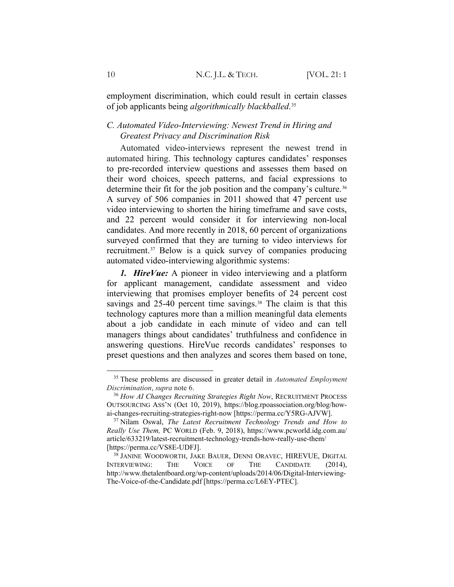employment discrimination, which could result in certain classes of job applicants being *algorithmically blackballed*.[35](#page-9-0)

## *C. Automated Video-Interviewing: Newest Trend in Hiring and Greatest Privacy and Discrimination Risk*

Automated video-interviews represent the newest trend in automated hiring. This technology captures candidates' responses to pre-recorded interview questions and assesses them based on their word choices, speech patterns, and facial expressions to determine their fit for the job position and the company's culture.<sup>[36](#page-9-1)</sup> A survey of 506 companies in 2011 showed that 47 percent use video interviewing to shorten the hiring timeframe and save costs, and 22 percent would consider it for interviewing non-local candidates. And more recently in 2018, 60 percent of organizations surveyed confirmed that they are turning to video interviews for recruitment.[37](#page-9-2) Below is a quick survey of companies producing automated video-interviewing algorithmic systems:

*1. HireVue:* A pioneer in video interviewing and a platform for applicant management, candidate assessment and video interviewing that promises employer benefits of 24 percent cost savings and 25-40 percent time savings.<sup>[38](#page-9-3)</sup> The claim is that this technology captures more than a million meaningful data elements about a job candidate in each minute of video and can tell managers things about candidates' truthfulness and confidence in answering questions. HireVue records candidates' responses to preset questions and then analyzes and scores them based on tone,

<span id="page-9-0"></span><sup>35</sup> These problems are discussed in greater detail in *Automated Employment Discrimination*, *supra* note 6.

<span id="page-9-1"></span><sup>36</sup> *How AI Changes Recruiting Strategies Right Now*, RECRUITMENT PROCESS OUTSOURCING ASS'N (Oct 10, 2019), https://blog.rpoassociation.org/blog/howai-changes-recruiting-strategies-right-now [https://perma.cc/Y5RG-AJVW].

<span id="page-9-2"></span><sup>37</sup> Nilam Oswal, *The Latest Recruitment Technology Trends and How to Really Use Them,* PC WORLD (Feb. 9, 2018), https://www.pcworld.idg.com.au/ article/633219/latest-recruitment-technology-trends-how-really-use-them/ [https://perma.cc/VS8E-UDFJ].

<span id="page-9-3"></span><sup>38</sup> JANINE WOODWORTH, JAKE BAUER, DENNI ORAVEC, HIREVUE, DIGITAL INTERVIEWING: THE VOICE OF THE CANDIDATE (2014), http://www.thetalentboard.org/wp-content/uploads/2014/06/Digital-Interviewing-The-Voice-of-the-Candidate.pdf [https://perma.cc/L6EY-PTEC].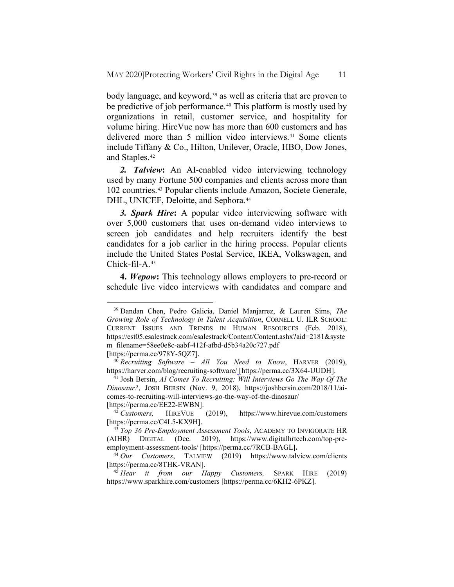body language, and keyword,<sup>[39](#page-10-0)</sup> as well as criteria that are proven to be predictive of job performance.<sup>[40](#page-10-1)</sup> This platform is mostly used by organizations in retail, customer service, and hospitality for volume hiring. HireVue now has more than 600 customers and has delivered more than 5 million video interviews.<sup>[41](#page-10-2)</sup> Some clients include Tiffany & Co., Hilton, Unilever, Oracle, HBO, Dow Jones, and Staples.[42](#page-10-3)

*2. Talview***:** An AI-enabled video interviewing technology used by many Fortune 500 companies and clients across more than 102 countries.[43](#page-10-4) Popular clients include Amazon, Societe Generale, DHL, UNICEF, Deloitte, and Sephora.<sup>[44](#page-10-5)</sup>

*3. Spark Hire***:** A popular video interviewing software with over 5,000 customers that uses on-demand video interviews to screen job candidates and help recruiters identify the best candidates for a job earlier in the hiring process. Popular clients include the United States Postal Service, IKEA, Volkswagen, and Chick-fil-A.[45](#page-10-6)

**4.** *Wepow***:** This technology allows employers to pre-record or schedule live video interviews with candidates and compare and

<span id="page-10-0"></span><sup>39</sup> Dandan Chen, Pedro Galicia, Daniel Manjarrez, & Lauren Sims, *The Growing Role of Technology in Talent Acquisition*, CORNELL U. ILR SCHOOL: CURRENT ISSUES AND TRENDS IN HUMAN RESOURCES (Feb. 2018), https://est05.esalestrack.com/esalestrack/Content/Content.ashx?aid=2181&syste m\_filename=58ee0e8c-aabf-412f-afbd-d5b34a20c727.pdf [https://perma.cc/978Y-5QZ7].

<span id="page-10-1"></span><sup>40</sup> *Recruiting Software – All You Need to Know*, HARVER (2019), https://harver.com/blog/recruiting-software/ [https://perma.cc/3X64-UUDH].

<span id="page-10-2"></span><sup>41</sup> Josh Bersin, *AI Comes To Recruiting: Will Interviews Go The Way Of The Dinosaur?*, JOSH BERSIN (Nov. 9, 2018), https://joshbersin.com/2018/11/aicomes-to-recruiting-will-interviews-go-the-way-of-the-dinosaur/ [https://perma.cc/EE22-EWBN].

<span id="page-10-3"></span><sup>42</sup> *Customers,* HIREVUE (2019), https://www.hirevue.com/customers [https://perma.cc/C4L5-KX9H].

<span id="page-10-4"></span><sup>43</sup> *Top 36 Pre-Employment Assessment Tools*, ACADEMY TO INVIGORATE HR (AIHR) DIGITAL (Dec. 2019), https://www.digitalhrtech.com/top-preemployment-assessment-tools/ [https://perma.cc/7RCB-BAGL**].**

<span id="page-10-5"></span><sup>44</sup> *Our Customers*, TALVIEW (2019) https://www.talview.com/clients [https://perma.cc/8THK-VRAN].

<span id="page-10-6"></span><sup>45</sup> *Hear it from our Happy Customers,* SPARK HIRE (2019) https://www.sparkhire.com/customers [https://perma.cc/6KH2-6PKZ].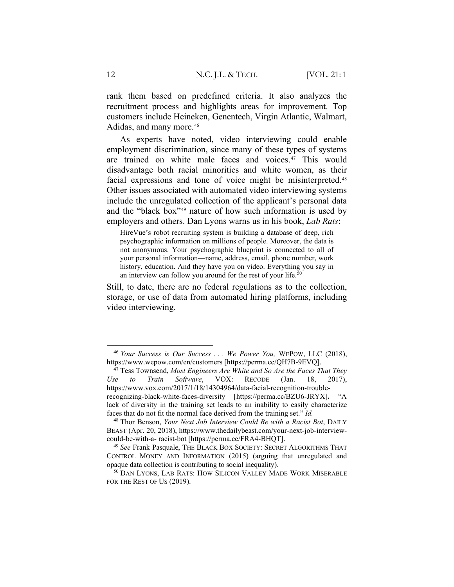rank them based on predefined criteria. It also analyzes the recruitment process and highlights areas for improvement. Top customers include Heineken, Genentech, Virgin Atlantic, Walmart, Adidas, and many more.<sup>[46](#page-11-0)</sup>

As experts have noted, video interviewing could enable employment discrimination, since many of these types of systems are trained on white male faces and voices.[47](#page-11-1) This would disadvantage both racial minorities and white women, as their facial expressions and tone of voice might be misinterpreted.<sup>[48](#page-11-2)</sup> Other issues associated with automated video interviewing systems include the unregulated collection of the applicant's personal data and the "black box"[49](#page-11-3) nature of how such information is used by employers and others. Dan Lyons warns us in his book, *Lab Rats*:

HireVue's robot recruiting system is building a database of deep, rich psychographic information on millions of people. Moreover, the data is not anonymous. Your psychographic blueprint is connected to all of your personal information—name, address, email, phone number, work history, education. And they have you on video. Everything you say in an interview can follow you around for the rest of your life.<sup>[50](#page-11-4)</sup>

Still, to date, there are no federal regulations as to the collection, storage, or use of data from automated hiring platforms, including video interviewing.

<span id="page-11-0"></span><sup>46</sup> *Your Success is Our Success . . . We Power You,* WEPOW, LLC (2018), https://www.wepow.com/en/customers [https://perma.cc/QH7B-9EVQ].

<span id="page-11-1"></span><sup>47</sup> Tess Townsend, *Most Engineers Are White and So Are the Faces That They Use to Train Software*, VOX: RECODE (Jan. 18, 2017), https://www.vox.com/2017/1/18/14304964/data-facial-recognition-troublerecognizing-black-white-faces-diversity [https://perma.cc/BZU6-JRYX]**.** "A lack of diversity in the training set leads to an inability to easily characterize faces that do not fit the normal face derived from the training set." *Id.*

<span id="page-11-2"></span><sup>48</sup> Thor Benson, *Your Next Job Interview Could Be with a Racist Bot*, DAILY BEAST (Apr. 20, 2018), https://www.thedailybeast.com/your-next-job-interviewcould-be-with-a- racist-bot [https://perma.cc/FRA4-BHQT].

<span id="page-11-3"></span><sup>49</sup> *See* Frank Pasquale, THE BLACK BOX SOCIETY: SECRET ALGORITHMS THAT CONTROL MONEY AND INFORMATION (2015) (arguing that unregulated and opaque data collection is contributing to social inequality).

<span id="page-11-4"></span><sup>50</sup> DAN LYONS, LAB RATS: HOW SILICON VALLEY MADE WORK MISERABLE FOR THE REST OF US (2019).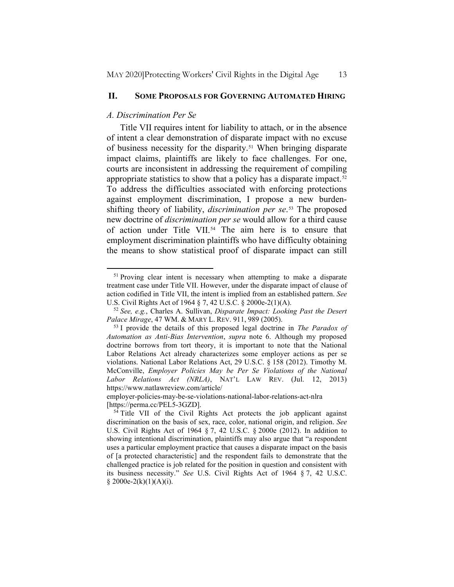#### **II. SOME PROPOSALS FOR GOVERNING AUTOMATED HIRING**

#### *A. Discrimination Per Se*

Title VII requires intent for liability to attach, or in the absence of intent a clear demonstration of disparate impact with no excuse of business necessity for the disparity.[51](#page-12-0) When bringing disparate impact claims, plaintiffs are likely to face challenges. For one, courts are inconsistent in addressing the requirement of compiling appropriate statistics to show that a policy has a disparate impact.<sup>[52](#page-12-1)</sup> To address the difficulties associated with enforcing protections against employment discrimination, I propose a new burdenshifting theory of liability, *discrimination per se*.[53](#page-12-2) The proposed new doctrine of *discrimination per se* would allow for a third cause of action under Title VII.<sup>[54](#page-12-3)</sup> The aim here is to ensure that employment discrimination plaintiffs who have difficulty obtaining the means to show statistical proof of disparate impact can still

<span id="page-12-0"></span><sup>&</sup>lt;sup>51</sup> Proving clear intent is necessary when attempting to make a disparate treatment case under Title VII. However, under the disparate impact of clause of action codified in Title VII, the intent is implied from an established pattern. *See*  U.S. Civil Rights Act of 1964 § 7, 42 U.S.C. § 2000e-2(1)(A).

<span id="page-12-1"></span><sup>52</sup> *See, e.g.*, Charles A. Sullivan, *Disparate Impact: Looking Past the Desert Palace Mirage*, 47 WM. & MARY L. REV. 911, 989 (2005).

<span id="page-12-2"></span><sup>53</sup> I provide the details of this proposed legal doctrine in *The Paradox of Automation as Anti-Bias Intervention*, *supra* note 6. Although my proposed doctrine borrows from tort theory, it is important to note that the National Labor Relations Act already characterizes some employer actions as per se violations. National Labor Relations Act, 29 U.S.C. § 158 (2012). Timothy M. McConville, *Employer Policies May be Per Se Violations of the National Labor Relations Act (NRLA)*, NAT'L LAW REV. (Jul. 12, 2013) https://www.natlawreview.com/article/

employer-policies-may-be-se-violations-national-labor-relations-act-nlra [https://perma.cc/PEL5-3GZD].

<span id="page-12-3"></span><sup>&</sup>lt;sup>54</sup> Title VII of the Civil Rights Act protects the job applicant against discrimination on the basis of sex, race, color, national origin, and religion. *See*  U.S. Civil Rights Act of 1964 § 7, 42 U.S.C. § 2000e (2012). In addition to showing intentional discrimination, plaintiffs may also argue that "a respondent uses a particular employment practice that causes a disparate impact on the basis of [a protected characteristic] and the respondent fails to demonstrate that the challenged practice is job related for the position in question and consistent with its business necessity." *See* U.S. Civil Rights Act of 1964 § 7, 42 U.S.C.  $$2000e-2(k)(1)(A)(i).$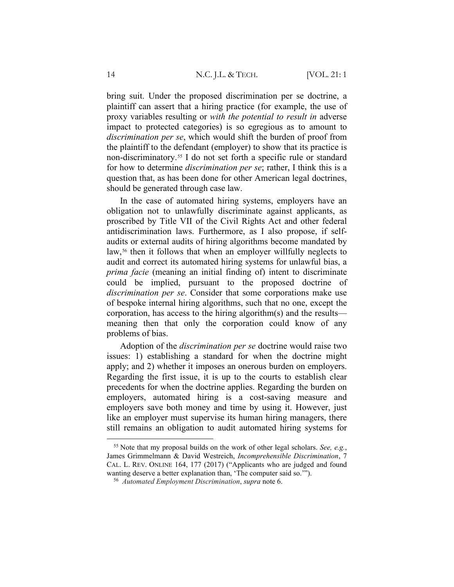bring suit. Under the proposed discrimination per se doctrine, a plaintiff can assert that a hiring practice (for example, the use of proxy variables resulting or *with the potential to result in* adverse impact to protected categories) is so egregious as to amount to *discrimination per se*, which would shift the burden of proof from the plaintiff to the defendant (employer) to show that its practice is non-discriminatory.[55](#page-13-0) I do not set forth a specific rule or standard for how to determine *discrimination per se*; rather, I think this is a question that, as has been done for other American legal doctrines, should be generated through case law.

In the case of automated hiring systems, employers have an obligation not to unlawfully discriminate against applicants, as proscribed by Title VII of the Civil Rights Act and other federal antidiscrimination laws. Furthermore, as I also propose, if selfaudits or external audits of hiring algorithms become mandated by law,<sup>[56](#page-13-1)</sup> then it follows that when an employer willfully neglects to audit and correct its automated hiring systems for unlawful bias, a *prima facie* (meaning an initial finding of) intent to discriminate could be implied, pursuant to the proposed doctrine of *discrimination per se*. Consider that some corporations make use of bespoke internal hiring algorithms, such that no one, except the corporation, has access to the hiring algorithm(s) and the results meaning then that only the corporation could know of any problems of bias.

Adoption of the *discrimination per se* doctrine would raise two issues: 1) establishing a standard for when the doctrine might apply; and 2) whether it imposes an onerous burden on employers. Regarding the first issue, it is up to the courts to establish clear precedents for when the doctrine applies. Regarding the burden on employers, automated hiring is a cost-saving measure and employers save both money and time by using it. However, just like an employer must supervise its human hiring managers, there still remains an obligation to audit automated hiring systems for

<span id="page-13-1"></span><span id="page-13-0"></span><sup>55</sup> Note that my proposal builds on the work of other legal scholars. *See, e.g.*, James Grimmelmann & David Westreich, *Incomprehensible Discrimination*, 7 CAL. L. REV. ONLINE 164, 177 (2017) ("Applicants who are judged and found wanting deserve a better explanation than, 'The computer said so.'").

<sup>56</sup> *Automated Employment Discrimination*, *supra* note 6.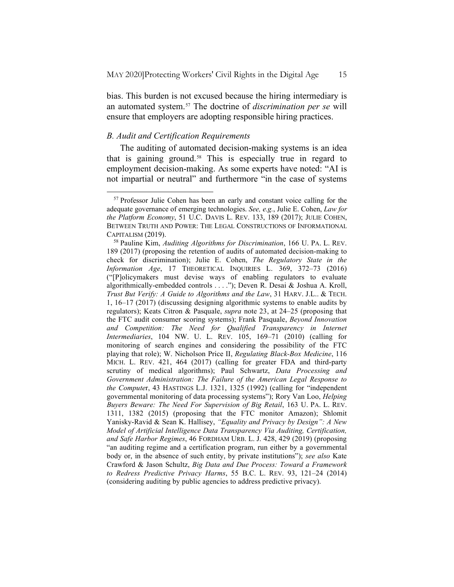bias. This burden is not excused because the hiring intermediary is an automated system.[57](#page-14-0) The doctrine of *discrimination per se* will ensure that employers are adopting responsible hiring practices.

## *B. Audit and Certification Requirements*

The auditing of automated decision-making systems is an idea that is gaining ground.<sup>[58](#page-14-1)</sup> This is especially true in regard to employment decision-making. As some experts have noted: "AI is not impartial or neutral" and furthermore "in the case of systems

<span id="page-14-0"></span><sup>57</sup> Professor Julie Cohen has been an early and constant voice calling for the adequate governance of emerging technologies. *See, e.g.*, Julie E. Cohen, *Law for the Platform Economy*, 51 U.C. DAVIS L. REV. 133, 189 (2017); JULIE COHEN, BETWEEN TRUTH AND POWER: THE LEGAL CONSTRUCTIONS OF INFORMATIONAL CAPITALISM (2019).

<span id="page-14-1"></span><sup>58</sup> Pauline Kim, *Auditing Algorithms for Discrimination*, 166 U. PA. L. REV. 189 (2017) (proposing the retention of audits of automated decision-making to check for discrimination); Julie E. Cohen, *The Regulatory State in the Information Age*, 17 THEORETICAL INQUIRIES L. 369, 372–73 (2016) ("[P]olicymakers must devise ways of enabling regulators to evaluate algorithmically-embedded controls . . . ."); Deven R. Desai & Joshua A. Kroll, *Trust But Verify: A Guide to Algorithms and the Law*, 31 HARV. J.L.. & TECH. 1, 16–17 (2017) (discussing designing algorithmic systems to enable audits by regulators); Keats Citron & Pasquale, *supra* note 23, at 24–25 (proposing that the FTC audit consumer scoring systems); Frank Pasquale, *Beyond Innovation*  and Competition: The Need for Qualified Transparency in Internet *Intermediaries*, 104 NW. U. L. REV. 105, 169–71 (2010) (calling for monitoring of search engines and considering the possibility of the FTC playing that role); W. Nicholson Price II, *Regulating Black-Box Medicine*, 116 MICH. L. REV. 421, 464 (2017) (calling for greater FDA and third-party scrutiny of medical algorithms); Paul Schwartz, *Data Processing and Government Administration: The Failure of the American Legal Response to the Compute*r, 43 HASTINGS L.J. 1321, 1325 (1992) (calling for "independent governmental monitoring of data processing systems"); Rory Van Loo, *Helping Buyers Beware: The Need For Supervision of Big Retail*, 163 U. PA. L. REV. 1311, 1382 (2015) (proposing that the FTC monitor Amazon); Shlomit Yanisky-Ravid & Sean K. Hallisey, *"Equality and Privacy by Design": A New Model of Artificial Intelligence Data Transparency Via Auditing, Certification, and Safe Harbor Regimes*, 46 FORDHAM URB. L. J. 428, 429 (2019) (proposing "an auditing regime and a certification program, run either by a governmental body or, in the absence of such entity, by private institutions"); *see also* Kate Crawford & Jason Schultz, *Big Data and Due Process: Toward a Framework to Redress Predictive Privacy Harms*, 55 B.C. L. REV. 93, 121–24 (2014) (considering auditing by public agencies to address predictive privacy).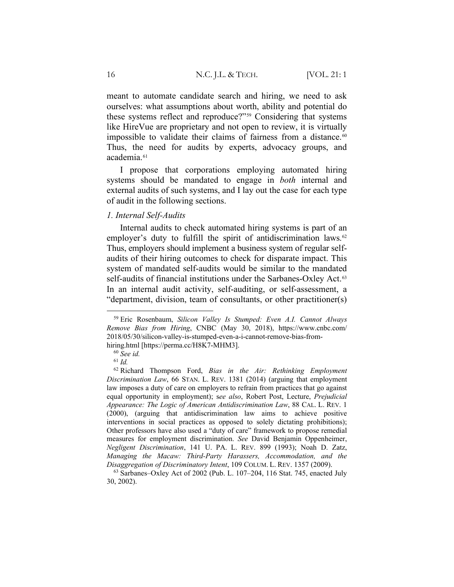meant to automate candidate search and hiring, we need to ask ourselves: what assumptions about worth, ability and potential do these systems reflect and reproduce?"[59](#page-15-0) Considering that systems like HireVue are proprietary and not open to review, it is virtually impossible to validate their claims of fairness from a distance.<sup>[60](#page-15-1)</sup> Thus, the need for audits by experts, advocacy groups, and academia.<sup>[61](#page-15-2)</sup>

I propose that corporations employing automated hiring systems should be mandated to engage in *both* internal and external audits of such systems, and I lay out the case for each type of audit in the following sections.

#### *1. Internal Self-Audits*

Internal audits to check automated hiring systems is part of an employer's duty to fulfill the spirit of antidiscrimination laws.<sup>[62](#page-15-3)</sup> Thus, employers should implement a business system of regular selfaudits of their hiring outcomes to check for disparate impact. This system of mandated self-audits would be similar to the mandated self-audits of financial institutions under the Sarbanes-Oxley Act.<sup>[63](#page-15-4)</sup> In an internal audit activity, self-auditing, or self-assessment, a "department, division, team of consultants, or other practitioner(s)

<span id="page-15-0"></span><sup>59</sup> Eric Rosenbaum, *Silicon Valley Is Stumped: Even A.I. Cannot Always Remove Bias from Hiring*, CNBC (May 30, 2018), https://www.cnbc.com/ 2018/05/30/silicon-valley-is-stumped-even-a-i-cannot-remove-bias-fromhiring.html [https://perma.cc/H8K7-MHM3].

<sup>60</sup> *See id.*

<sup>61</sup> *Id.*

<span id="page-15-3"></span><span id="page-15-2"></span><span id="page-15-1"></span><sup>62</sup> Richard Thompson Ford, *Bias in the Air: Rethinking Employment Discrimination Law*, 66 STAN. L. REV. 1381 (2014) (arguing that employment law imposes a duty of care on employers to refrain from practices that go against equal opportunity in employment); s*ee also*, Robert Post, Lecture, *Prejudicial Appearance: The Logic of American Antidiscrimination Law*, 88 CAL. L. REV. 1 (2000), (arguing that antidiscrimination law aims to achieve positive interventions in social practices as opposed to solely dictating prohibitions); Other professors have also used a "duty of care" framework to propose remedial measures for employment discrimination. *See* David Benjamin Oppenheimer, *Negligent Discrimination*, 141 U. PA. L. REV. 899 (1993); Noah D. Zatz, *Managing the Macaw: Third-Party Harassers, Accommodation, and the Disaggregation of Discriminatory Intent*, 109 COLUM. L. REV. 1357 (2009).

<span id="page-15-4"></span> $63$  Sarbanes–Oxley Act of 2002 (Pub. L. 107–204, 116 Stat. 745, enacted July 30, 2002).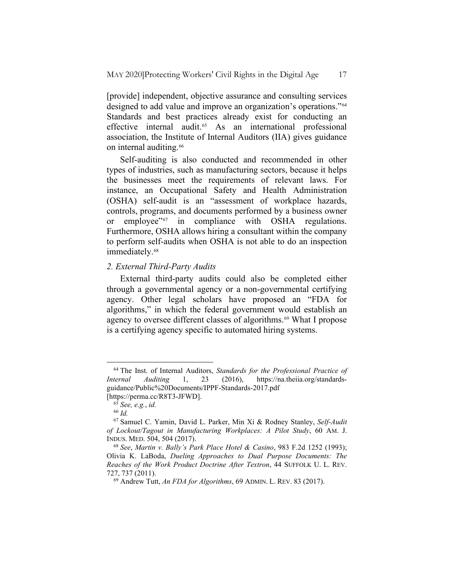[provide] independent, objective assurance and consulting services designed to add value and improve an organization's operations."[64](#page-16-0) Standards and best practices already exist for conducting an effective internal audit.[65](#page-16-1) As an international professional association, the Institute of Internal Auditors (IIA) gives guidance on internal auditing.<sup>[66](#page-16-2)</sup>

Self-auditing is also conducted and recommended in other types of industries, such as manufacturing sectors, because it helps the businesses meet the requirements of relevant laws. For instance, an Occupational Safety and Health Administration (OSHA) self-audit is an "assessment of workplace hazards, controls, programs, and documents performed by a business owner or employee"[67](#page-16-3) in compliance with OSHA regulations. Furthermore, OSHA allows hiring a consultant within the company to perform self-audits when OSHA is not able to do an inspection immediately.<sup>[68](#page-16-4)</sup>

### *2. External Third-Party Audits*

External third-party audits could also be completed either through a governmental agency or a non-governmental certifying agency. Other legal scholars have proposed an "FDA for algorithms," in which the federal government would establish an agency to oversee different classes of algorithms.<sup>[69](#page-16-5)</sup> What I propose is a certifying agency specific to automated hiring systems.

<span id="page-16-0"></span><sup>64</sup> The Inst. of Internal Auditors, *Standards for the Professional Practice of Internal Auditing* 1, 23 (2016), https://na.theiia.org/standardsguidance/Public%20Documents/IPPF-Standards-2017.pdf [https://perma.cc/R8T3-JFWD].

<sup>65</sup> *See, e.g.*, *id.*

<sup>66</sup> *Id.*

<span id="page-16-3"></span><span id="page-16-2"></span><span id="page-16-1"></span><sup>67</sup> Samuel C. Yamin, David L. Parker, Min Xi & Rodney Stanley, *Self-Audit of Lockout/Tagout in Manufacturing Workplaces: A Pilot Study*, 60 AM. J. INDUS. MED. 504, 504 (2017).

<span id="page-16-5"></span><span id="page-16-4"></span><sup>68</sup> *See*, *Martin v. Bally's Park Place Hotel & Casino*, 983 F.2d 1252 (1993); Olivia K. LaBoda, *Dueling Approaches to Dual Purpose Documents: The Reaches of the Work Product Doctrine After Textron*, 44 SUFFOLK U. L. REV. 727, 737 (2011).

<sup>69</sup> Andrew Tutt, *An FDA for Algorithms*, 69 ADMIN. L. REV. 83 (2017).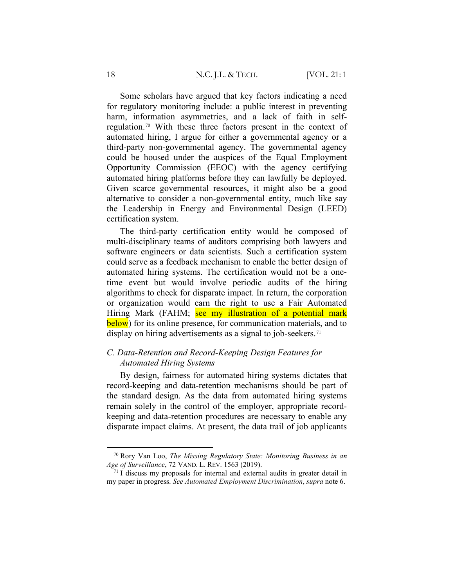Some scholars have argued that key factors indicating a need for regulatory monitoring include: a public interest in preventing harm, information asymmetries, and a lack of faith in selfregulation.[70](#page-17-0) With these three factors present in the context of automated hiring, I argue for either a governmental agency or a third-party non-governmental agency. The governmental agency could be housed under the auspices of the Equal Employment Opportunity Commission (EEOC) with the agency certifying automated hiring platforms before they can lawfully be deployed. Given scarce governmental resources, it might also be a good alternative to consider a non-governmental entity, much like say the Leadership in Energy and Environmental Design (LEED) certification system.

The third-party certification entity would be composed of multi-disciplinary teams of auditors comprising both lawyers and software engineers or data scientists. Such a certification system could serve as a feedback mechanism to enable the better design of automated hiring systems. The certification would not be a onetime event but would involve periodic audits of the hiring algorithms to check for disparate impact. In return, the corporation or organization would earn the right to use a Fair Automated Hiring Mark (FAHM; see my illustration of a potential mark below) for its online presence, for communication materials, and to display on hiring advertisements as a signal to job-seekers.<sup>[71](#page-17-1)</sup>

# *C. Data-Retention and Record-Keeping Design Features for Automated Hiring Systems*

By design, fairness for automated hiring systems dictates that record-keeping and data-retention mechanisms should be part of the standard design. As the data from automated hiring systems remain solely in the control of the employer, appropriate recordkeeping and data-retention procedures are necessary to enable any disparate impact claims. At present, the data trail of job applicants

<span id="page-17-0"></span><sup>70</sup> Rory Van Loo, *The Missing Regulatory State: Monitoring Business in an Age of Surveillance*, 72 VAND. L. REV. 1563 (2019).

<span id="page-17-1"></span> $71$  I discuss my proposals for internal and external audits in greater detail in my paper in progress. *See Automated Employment Discrimination*, *supra* note 6.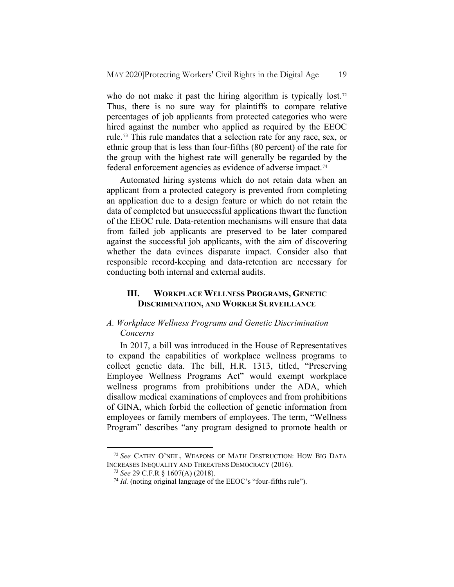who do not make it past the hiring algorithm is typically lost.<sup>[72](#page-18-0)</sup> Thus, there is no sure way for plaintiffs to compare relative percentages of job applicants from protected categories who were hired against the number who applied as required by the EEOC rule.[73](#page-18-1) This rule mandates that a selection rate for any race, sex, or ethnic group that is less than four-fifths (80 percent) of the rate for the group with the highest rate will generally be regarded by the federal enforcement agencies as evidence of adverse impact.<sup>[74](#page-18-2)</sup>

Automated hiring systems which do not retain data when an applicant from a protected category is prevented from completing an application due to a design feature or which do not retain the data of completed but unsuccessful applications thwart the function of the EEOC rule. Data-retention mechanisms will ensure that data from failed job applicants are preserved to be later compared against the successful job applicants, with the aim of discovering whether the data evinces disparate impact. Consider also that responsible record-keeping and data-retention are necessary for conducting both internal and external audits.

# **III. WORKPLACE WELLNESS PROGRAMS, GENETIC DISCRIMINATION, AND WORKER SURVEILLANCE**

## *A. Workplace Wellness Programs and Genetic Discrimination Concerns*

In 2017, a bill was introduced in the House of Representatives to expand the capabilities of workplace wellness programs to collect genetic data. The bill, H.R. 1313, titled, "Preserving Employee Wellness Programs Act" would exempt workplace wellness programs from prohibitions under the ADA, which disallow medical examinations of employees and from prohibitions of GINA, which forbid the collection of genetic information from employees or family members of employees. The term, "Wellness Program" describes "any program designed to promote health or

<span id="page-18-2"></span><span id="page-18-1"></span><span id="page-18-0"></span><sup>72</sup> *See* CATHY O'NEIL, WEAPONS OF MATH DESTRUCTION: HOW BIG DATA INCREASES INEQUALITY AND THREATENS DEMOCRACY (2016).

<sup>73</sup> *See* 29 C.F.R § 1607(A) (2018).

<sup>74</sup> *Id.* (noting original language of the EEOC's "four-fifths rule").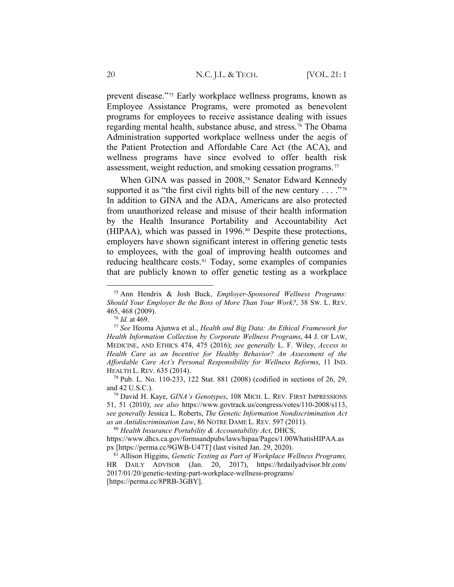prevent disease."[75](#page-19-0) Early workplace wellness programs, known as Employee Assistance Programs, were promoted as benevolent programs for employees to receive assistance dealing with issues regarding mental health, substance abuse, and stress.[76](#page-19-1) The Obama Administration supported workplace wellness under the aegis of the Patient Protection and Affordable Care Act (the ACA), and wellness programs have since evolved to offer health risk assessment, weight reduction, and smoking cessation programs.[77](#page-19-2)

When GINA was passed in 2008,<sup>[78](#page-19-3)</sup> Senator Edward Kennedy supported it as "the first civil rights bill of the new century  $\dots$ "<sup>[79](#page-19-4)</sup> In addition to GINA and the ADA, Americans are also protected from unauthorized release and misuse of their health information by the Health Insurance Portability and Accountability Act (HIPAA), which was passed in 1996.<sup>[80](#page-19-5)</sup> Despite these protections, employers have shown significant interest in offering genetic tests to employees, with the goal of improving health outcomes and reducing healthcare costs.<sup>[81](#page-19-6)</sup> Today, some examples of companies that are publicly known to offer genetic testing as a workplace

<span id="page-19-0"></span><sup>75</sup> Ann Hendrix & Josh Buck, *Employer-Sponsored Wellness Programs: Should Your Employer Be the Boss of More Than Your Work?*, 38 SW. L. REV. 465, 468 (2009).

<sup>76</sup> *Id.* at 469.

<span id="page-19-2"></span><span id="page-19-1"></span><sup>77</sup> *See* Ifeoma Ajunwa et al., *Health and Big Data: An Ethical Framework for Health Information Collection by Corporate Wellness Programs*, 44 J. OF LAW, MEDICINE, AND ETHICS 474, 475 (2016); *see generally* L. F. Wiley, *Access to Health Care as an Incentive for Healthy Behavior? An Assessment of the Affordable Care Act's Personal Responsibility for Wellness Reforms*, 11 IND. HEALTH L. REV. 635 (2014).

<span id="page-19-3"></span><sup>78</sup> Pub. L. No. 110-233, 122 Stat. 881 (2008) (codified in sections of 26, 29, and 42 U.S.C.).

<span id="page-19-4"></span><sup>79</sup> David H. Kaye, *GINA's Genotypes*, 108 MICH. L. REV. FIRST IMPRESSIONS 51, 51 (2010); *see also* https://www.govtrack.us/congress/votes/110-2008/s113, *see generally* Jessica L. Roberts, *The Genetic Information Nondiscrimination Act as an Antidiscrimination Law*, 86 NOTRE DAME L. REV. 597 (2011).

<span id="page-19-5"></span><sup>80</sup> *Health Insurance Portability & Accountability Act*, DHCS, https://www.dhcs.ca.gov/formsandpubs/laws/hipaa/Pages/1.00WhatisHIPAA.as px [https://perma.cc/9GWB-U47T] (last visited Jan. 29, 2020).

<span id="page-19-6"></span><sup>81</sup> Allison Higgins, *Genetic Testing as Part of Workplace Wellness Programs,*  HR DAILY ADVISOR (Jan. 20, 2017), https://hrdailyadvisor.blr.com/ 2017/01/20/genetic-testing-part-workplace-wellness-programs/ [https://perma.cc/8PRB-3GBY].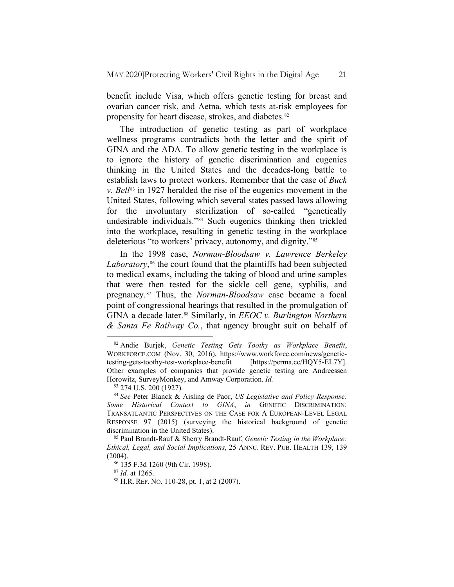benefit include Visa, which offers genetic testing for breast and ovarian cancer risk, and Aetna, which tests at-risk employees for propensity for heart disease, strokes, and diabetes.<sup>[82](#page-20-0)</sup>

The introduction of genetic testing as part of workplace wellness programs contradicts both the letter and the spirit of GINA and the ADA. To allow genetic testing in the workplace is to ignore the history of genetic discrimination and eugenics thinking in the United States and the decades-long battle to establish laws to protect workers. Remember that the case of *Buck v. Bell*[83](#page-20-1) in 1927 heralded the rise of the eugenics movement in the United States, following which several states passed laws allowing for the involuntary sterilization of so-called "genetically undesirable individuals."[84](#page-20-2) Such eugenics thinking then trickled into the workplace, resulting in genetic testing in the workplace deleterious "to workers' privacy, autonomy, and dignity."[85](#page-20-3)

In the 1998 case, *Norman-Bloodsaw v. Lawrence Berkeley*  Laboratory,<sup>[86](#page-20-4)</sup> the court found that the plaintiffs had been subjected to medical exams, including the taking of blood and urine samples that were then tested for the sickle cell gene, syphilis, and pregnancy.[87](#page-20-5) Thus, the *Norman-Bloodsaw* case became a focal point of congressional hearings that resulted in the promulgation of GINA a decade later.<sup>[88](#page-20-6)</sup> Similarly, in *EEOC v. Burlington Northern & Santa Fe Railway Co.*, that agency brought suit on behalf of

<sup>87</sup> *Id.* at 1265.

<span id="page-20-0"></span><sup>82</sup> Andie Burjek, *Genetic Testing Gets Toothy as Workplace Benefit*, WORKFORCE.COM (Nov. 30, 2016), https://www.workforce.com/news/genetictesting-gets-toothy-test-workplace-benefit [https://perma.cc/HQY5-EL7Y]. Other examples of companies that provide genetic testing are Andreessen Horowitz, SurveyMonkey, and Amway Corporation. *Id.*

<sup>83</sup> 274 U.S. 200 (1927).

<span id="page-20-2"></span><span id="page-20-1"></span><sup>84</sup> *See* Peter Blanck & Aisling de Paor, *US Legislative and Policy Response: Some Historical Context to GINA*, *in* GENETIC DISCRIMINATION: TRANSATLANTIC PERSPECTIVES ON THE CASE FOR A EUROPEAN-LEVEL LEGAL RESPONSE 97 (2015) (surveying the historical background of genetic discrimination in the United States).

<span id="page-20-5"></span><span id="page-20-4"></span><span id="page-20-3"></span><sup>85</sup> Paul Brandt-Rauf & Sherry Brandt-Rauf, *Genetic Testing in the Workplace: Ethical, Legal, and Social Implications*, 25 ANNU. REV. PUB. HEALTH 139, 139 (2004).

<sup>86</sup> 135 F.3d 1260 (9th Cir. 1998).

<span id="page-20-6"></span><sup>88</sup> H.R. REP. NO. 110-28, pt. 1, at 2 (2007).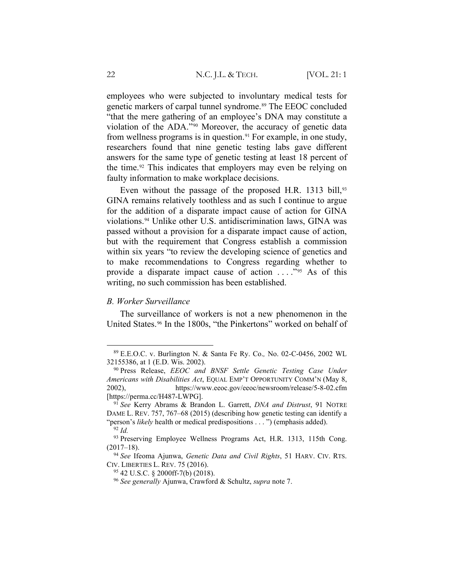employees who were subjected to involuntary medical tests for genetic markers of carpal tunnel syndrome.<sup>[89](#page-21-0)</sup> The EEOC concluded "that the mere gathering of an employee's DNA may constitute a violation of the ADA."[90](#page-21-1) Moreover, the accuracy of genetic data from wellness programs is in question.<sup>[91](#page-21-2)</sup> For example, in one study, researchers found that nine genetic testing labs gave different answers for the same type of genetic testing at least 18 percent of the time.<sup>[92](#page-21-3)</sup> This indicates that employers may even be relying on faulty information to make workplace decisions.

Even without the passage of the proposed H.R. 1313 bill,<sup>[93](#page-21-4)</sup> GINA remains relatively toothless and as such I continue to argue for the addition of a disparate impact cause of action for GINA violations.[94](#page-21-5) Unlike other U.S. antidiscrimination laws, GINA was passed without a provision for a disparate impact cause of action, but with the requirement that Congress establish a commission within six years "to review the developing science of genetics and to make recommendations to Congress regarding whether to provide a disparate impact cause of action . . . ."[95](#page-21-6) As of this writing, no such commission has been established.

### *B. Worker Surveillance*

The surveillance of workers is not a new phenomenon in the United States.<sup>[96](#page-21-7)</sup> In the 1800s, "the Pinkertons" worked on behalf of

<span id="page-21-0"></span><sup>89</sup> E.E.O.C. v. Burlington N. & Santa Fe Ry. Co.*,* No. 02-C-0456, 2002 WL 32155386, at 1 (E.D. Wis. 2002).

<span id="page-21-1"></span><sup>90</sup> Press Release, *EEOC and BNSF Settle Genetic Testing Case Under Americans with Disabilities Act*, EQUAL EMP'T OPPORTUNITY COMM'N (May 8, 2002), https://www.eeoc.gov/eeoc/newsroom/release/5-8-02.cfm [https://perma.cc/H487-LWPG].

<span id="page-21-2"></span><sup>91</sup> *See* Kerry Abrams & Brandon L. Garrett, *DNA and Distrust*, 91 NOTRE DAME L. REV. 757, 767–68 (2015) (describing how genetic testing can identify a "person's *likely* health or medical predispositions . . . ") (emphasis added).

<sup>92</sup> *Id.*

<span id="page-21-4"></span><span id="page-21-3"></span><sup>93</sup> Preserving Employee Wellness Programs Act, H.R. 1313, 115th Cong.  $(2017-18).$ 

<span id="page-21-7"></span><span id="page-21-6"></span><span id="page-21-5"></span><sup>94</sup> *See* Ifeoma Ajunwa, *Genetic Data and Civil Rights*, 51 HARV. CIV. RTS. CIV. LIBERTIES L. REV. 75 (2016).

<sup>95</sup> 42 U.S.C. § 2000ff-7(b) (2018).

<sup>96</sup> *See generally* Ajunwa, Crawford & Schultz, *supra* note 7.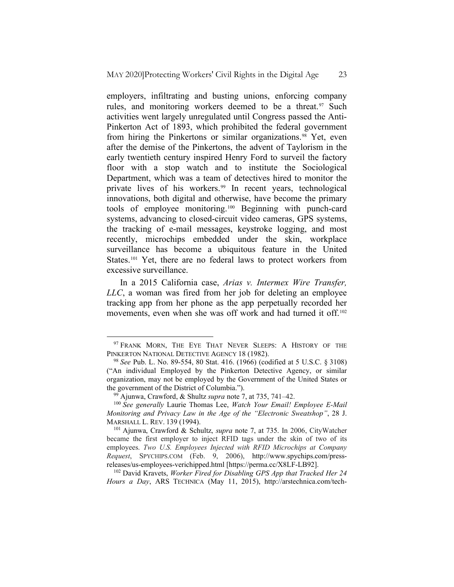employers, infiltrating and busting unions, enforcing company rules, and monitoring workers deemed to be a threat.<sup>[97](#page-22-0)</sup> Such activities went largely unregulated until Congress passed the Anti-Pinkerton Act of 1893, which prohibited the federal government from hiring the Pinkertons or similar organizations.<sup>[98](#page-22-1)</sup> Yet, even after the demise of the Pinkertons, the advent of Taylorism in the early twentieth century inspired Henry Ford to surveil the factory floor with a stop watch and to institute the Sociological Department, which was a team of detectives hired to monitor the private lives of his workers.<sup>[99](#page-22-2)</sup> In recent years, technological innovations, both digital and otherwise, have become the primary tools of employee monitoring.[100](#page-22-3) Beginning with punch-card systems, advancing to closed-circuit video cameras, GPS systems, the tracking of e-mail messages, keystroke logging, and most recently, microchips embedded under the skin, workplace surveillance has become a ubiquitous feature in the United States.<sup>[101](#page-22-4)</sup> Yet, there are no federal laws to protect workers from excessive surveillance.

In a 2015 California case, *Arias v. Intermex Wire Transfer, LLC*, a woman was fired from her job for deleting an employee tracking app from her phone as the app perpetually recorded her movements, even when she was off work and had turned it off.<sup>[102](#page-22-5)</sup>

<span id="page-22-5"></span><sup>102</sup> David Kravets, *Worker Fired for Disabling GPS App that Tracked Her 24 Hours a Day*, ARS TECHNICA (May 11, 2015), http://arstechnica.com/tech-

<span id="page-22-0"></span><sup>&</sup>lt;sup>97</sup> FRANK MORN, THE EYE THAT NEVER SLEEPS: A HISTORY OF THE PINKERTON NATIONAL DETECTIVE AGENCY 18 (1982).

<span id="page-22-1"></span><sup>98</sup> *See* Pub. L. No. 89-554, 80 Stat. 416. (1966) (codified at 5 U.S.C. § 3108) ("An individual Employed by the Pinkerton Detective Agency, or similar organization, may not be employed by the Government of the United States or the government of the District of Columbia.").

<sup>99</sup> Ajunwa, Crawford, & Shultz *supra* note 7, at 735, 741–42.

<span id="page-22-3"></span><span id="page-22-2"></span><sup>100</sup> *See generally* Laurie Thomas Lee, *Watch Your Email! Employee E-Mail Monitoring and Privacy Law in the Age of the "Electronic Sweatshop"*, 28 J. MARSHALL L. REV. 139 (1994).

<span id="page-22-4"></span><sup>101</sup> Ajunwa, Crawford & Schultz, *supra* note 7, at 735. In 2006, CityWatcher became the first employer to inject RFID tags under the skin of two of its employees. *Two U.S. Employees Injected with RFID Microchips at Company Request*, SPYCHIPS.COM (Feb. 9, 2006), http://www.spychips.com/pressreleases/us-employees-verichipped.html [\[https://perma.cc/X8LF-L](https://perma.cc/X8LF-)B92].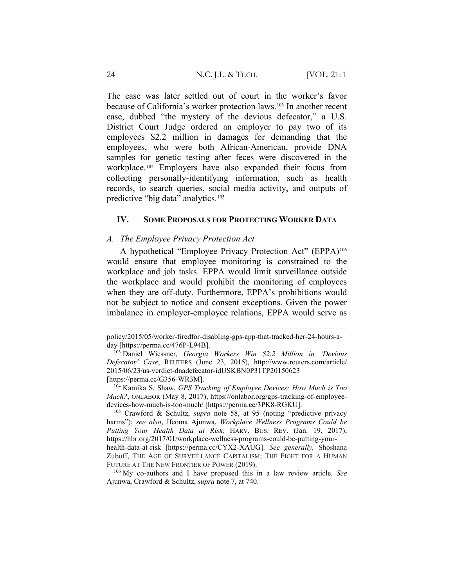The case was later settled out of court in the worker's favor because of California's worker protection laws.[103](#page-23-0) In another recent case, dubbed "the mystery of the devious defecator," a U.S. District Court Judge ordered an employer to pay two of its employees \$2.2 million in damages for demanding that the employees, who were both African-American, provide DNA samples for genetic testing after feces were discovered in the workplace.[104](#page-23-1) Employers have also expanded their focus from collecting personally-identifying information, such as health records, to search queries, social media activity, and outputs of predictive "big data" analytics.[105](#page-23-2)

### **IV. SOME PROPOSALS FOR PROTECTING WORKER DATA**

#### *A. The Employee Privacy Protection Act*

A hypothetical "Employee Privacy Protection Act" (EPPA)<sup>[106](#page-23-3)</sup> would ensure that employee monitoring is constrained to the workplace and job tasks. EPPA would limit surveillance outside the workplace and would prohibit the monitoring of employees when they are off-duty. Furthermore, EPPA's prohibitions would not be subject to notice and consent exceptions. Given the power imbalance in employer-employee relations, EPPA would serve as

<span id="page-23-3"></span><sup>106</sup> My co-authors and I have proposed this in a law review article. *See* Ajunwa, Crawford & Schultz, *supra* note 7, at 740.

policy/2015/05/worker-firedfor-disabling-gps-app-that-tracked-her-24-hours-aday [\[https://perma.cc/476P-L94B\].](https://perma.cc/476P-L94B%5d.)

<span id="page-23-0"></span><sup>103</sup> Daniel Wiessner*, Georgia Workers Win \$2.2 Million in 'Devious Defecator' Case*, REUTERS (June 23, 2015), http://www.reuters.com/article/ 2015/06/23/us-verdict-dnadefecator-idUSKBN0P31TP20150623 [https://perma.cc/G356-WR3M].

<span id="page-23-1"></span><sup>104</sup> Kamika S. Shaw, *GPS Tracking of Employee Devices: How Much is Too Much?*, ONLABOR (May 8, 2017), https://onlabor.org/gps-tracking-of-employeedevices-how-much-is-too-much/ [https://perma.cc/3PK8-RGKU].

<span id="page-23-2"></span><sup>105</sup> Crawford & Schultz, *supra* note 58, at 95 (noting "predictive privacy harms"); *see also*, Ifeoma Ajunwa, *Workplace Wellness Programs Could be Putting Your Health Data at Risk,* HARV. BUS. REV. (Jan. 19, 2017), https://hbr.org/2017/01/workplace-wellness-programs-could-be-putting-yourhealth-data-at-risk [https://perma.cc/CYX2-XAUG]. *See generally,* Shoshana Zuboff, THE AGE OF SURVEILLANCE CAPITALISM; THE FIGHT FOR A HUMAN FUTURE AT THE NEW FRONTIER OF POWER (2019).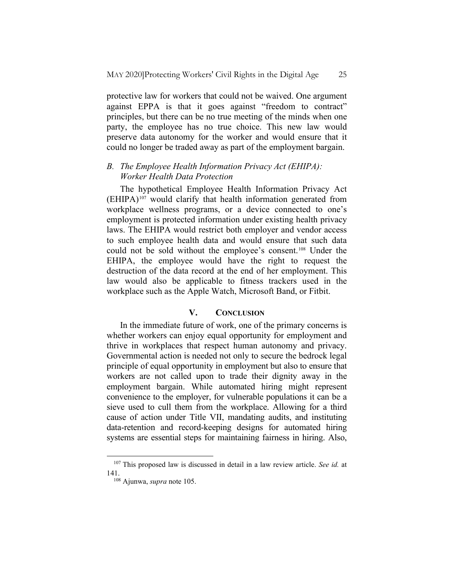protective law for workers that could not be waived. One argument against EPPA is that it goes against "freedom to contract" principles, but there can be no true meeting of the minds when one party, the employee has no true choice. This new law would preserve data autonomy for the worker and would ensure that it could no longer be traded away as part of the employment bargain.

# *B. The Employee Health Information Privacy Act (EHIPA): Worker Health Data Protection*

The hypothetical Employee Health Information Privacy Act  $(EHIPA)^{107}$  $(EHIPA)^{107}$  $(EHIPA)^{107}$  would clarify that health information generated from workplace wellness programs, or a device connected to one's employment is protected information under existing health privacy laws. The EHIPA would restrict both employer and vendor access to such employee health data and would ensure that such data could not be sold without the employee's consent.[108](#page-24-1) Under the EHIPA, the employee would have the right to request the destruction of the data record at the end of her employment. This law would also be applicable to fitness trackers used in the workplace such as the Apple Watch, Microsoft Band, or Fitbit.

## **V. CONCLUSION**

In the immediate future of work, one of the primary concerns is whether workers can enjoy equal opportunity for employment and thrive in workplaces that respect human autonomy and privacy. Governmental action is needed not only to secure the bedrock legal principle of equal opportunity in employment but also to ensure that workers are not called upon to trade their dignity away in the employment bargain. While automated hiring might represent convenience to the employer, for vulnerable populations it can be a sieve used to cull them from the workplace. Allowing for a third cause of action under Title VII, mandating audits, and instituting data-retention and record-keeping designs for automated hiring systems are essential steps for maintaining fairness in hiring. Also,

<span id="page-24-1"></span><span id="page-24-0"></span><sup>107</sup> This proposed law is discussed in detail in a law review article. *See id.* at 141.

<sup>108</sup> Ajunwa, *supra* note 105.